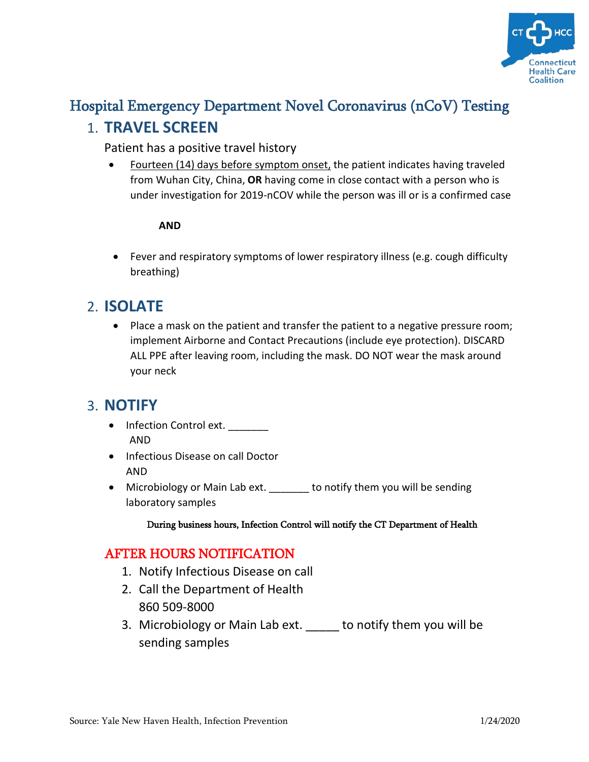

# Hospital Emergency Department Novel Coronavirus (nCoV) Testing 1. **TRAVEL SCREEN**

#### Patient has a positive travel history

• Fourteen (14) days before symptom onset, the patient indicates having traveled from Wuhan City, China, **OR** having come in close contact with a person who is under investigation for 2019-nCOV while the person was ill or is a confirmed case

#### **AND**

• Fever and respiratory symptoms of lower respiratory illness (e.g. cough difficulty breathing)

## 2. **ISOLATE**

• Place a mask on the patient and transfer the patient to a negative pressure room; implement Airborne and Contact Precautions (include eye protection). DISCARD ALL PPE after leaving room, including the mask. DO NOT wear the mask around your neck

## 3. **NOTIFY**

- Infection Control ext. AND
- Infectious Disease on call Doctor AND
- Microbiology or Main Lab ext. to notify them you will be sending laboratory samples

#### During business hours, Infection Control will notify the CT Department of Health

### AFTER HOURS NOTIFICATION

- 1. Notify Infectious Disease on call
- 2. Call the Department of Health 860 509-8000
- 3. Microbiology or Main Lab ext. to notify them you will be sending samples